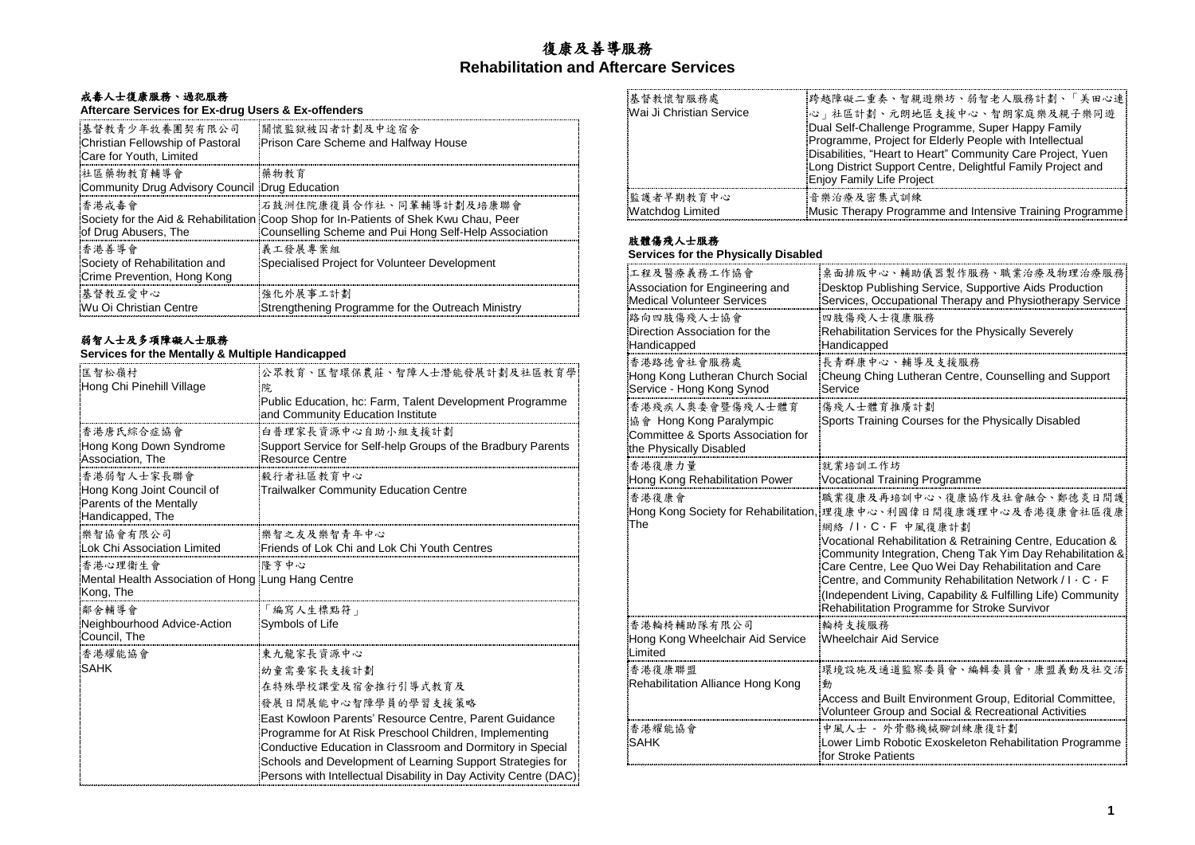# 復康及善導服務 **Rehabilitation and Aftercare Services**

# 戒毒人士復康服務、過犯服務

# **Aftercare Services for Ex-drug Users & Ex-offenders**

| 基督教青少年牧養團契有限公司<br>Christian Fellowship of Pastoral<br>Care for Youth, Limited | 關懷監獄被囚者計劃及中途宿舍<br>Prison Care Scheme and Halfway House                                                                                                                    |
|-------------------------------------------------------------------------------|---------------------------------------------------------------------------------------------------------------------------------------------------------------------------|
| 社區藥物教育輔導會<br>Community Drug Advisory Council Drug Education                   | 藥物教育                                                                                                                                                                      |
| 香港戒毒會<br>of Drug Abusers, The                                                 | 石鼓洲住院康復員合作社、同輩輔導計劃及培康聯會<br>Society for the Aid & Rehabilitation Coop Shop for In-Patients of Shek Kwu Chau, Peer<br>Counselling Scheme and Pui Hong Self-Help Association |
| 香港善導會<br>Society of Rehabilitation and<br>Crime Prevention, Hong Kong         | 義工發展專案組<br>Specialised Project for Volunteer Development                                                                                                                  |
| 基督教互爱中心<br>Wu Oi Christian Centre                                             | 強化外展事工計劃<br>Strengthening Programme for the Outreach Ministry                                                                                                             |

### 弱智人士及多項障礙人士服務

#### **Services for the Mentally & Multiple Handicapped**

| 匡智松嶺村<br>Hong Chi Pinehill Village                                        | 公眾教育、匡智環保農莊、智障人士潛能發展計劃及社區教育學<br>院.<br>Public Education, hc: Farm, Talent Development Programme                                                                                                                                                                                                                    |
|---------------------------------------------------------------------------|-------------------------------------------------------------------------------------------------------------------------------------------------------------------------------------------------------------------------------------------------------------------------------------------------------------------|
|                                                                           | and Community Education Institute                                                                                                                                                                                                                                                                                 |
| 香港唐氏綜合症協會                                                                 | 白普理家長資源中心自助小組支援計劃                                                                                                                                                                                                                                                                                                 |
| Hong Kong Down Syndrome<br>Association, The                               | Support Service for Self-help Groups of the Bradbury Parents<br><b>Resource Centre</b>                                                                                                                                                                                                                            |
| 香港弱智人士家長聯會                                                                | 毅行者社區教育中心                                                                                                                                                                                                                                                                                                         |
| Hong Kong Joint Council of<br>Parents of the Mentally<br>Handicapped, The | Trailwalker Community Education Centre                                                                                                                                                                                                                                                                            |
| 樂智協會有限公司                                                                  | 樂智之友及樂智青年中心                                                                                                                                                                                                                                                                                                       |
| Lok Chi Association Limited                                               | Friends of Lok Chi and Lok Chi Youth Centres                                                                                                                                                                                                                                                                      |
| 香港心理衛生會                                                                   | 隆亨中心                                                                                                                                                                                                                                                                                                              |
| Mental Health Association of Hong Lung Hang Centre<br>Kong, The           |                                                                                                                                                                                                                                                                                                                   |
| 鄰舍輔導會                                                                     | 「編寫人生標點符」                                                                                                                                                                                                                                                                                                         |
| Neighbourhood Advice-Action<br>Council, The                               | Symbols of Life                                                                                                                                                                                                                                                                                                   |
| 香港耀能協會                                                                    | 東九龍家長資源中心                                                                                                                                                                                                                                                                                                         |
| SAHK                                                                      | 幼童需要家長支援計劃                                                                                                                                                                                                                                                                                                        |
|                                                                           | 在特殊學校課堂及宿会推行引導式教育及                                                                                                                                                                                                                                                                                                |
|                                                                           | 發展日間展能中心智障學員的學習支援策略                                                                                                                                                                                                                                                                                               |
|                                                                           | East Kowloon Parents' Resource Centre, Parent Guidance<br>Programme for At Risk Preschool Children, Implementing<br>Conductive Education in Classroom and Dormitory in Special<br>Schools and Development of Learning Support Strategies for<br>Persons with Intellectual Disability in Day Activity Centre (DAC) |

| 基督教懷智服務處<br>Wai Ji Christian Service | 跨越障礙二重奏、智親遊樂坊、弱智老人服務計劃、「美田心連 <br>2) 社區計劃、元朗地區支援中心、智朗家庭樂及親子樂同遊<br>Dual Self-Challenge Programme, Super Happy Family<br>Programme, Project for Elderly People with Intellectual<br>Disabilities, "Heart to Heart" Community Care Project, Yuen<br>Long District Support Centre, Delightful Family Project and<br>Enjoy Family Life Project |
|--------------------------------------|------------------------------------------------------------------------------------------------------------------------------------------------------------------------------------------------------------------------------------------------------------------------------------------------------------------------------------------|
| 監護者早期教育中心                            | 音樂治療及密集式訓練                                                                                                                                                                                                                                                                                                                               |
| Watchdog Limited                     | Music Therapy Programme and Intensive Training Programme                                                                                                                                                                                                                                                                                 |

## 肢體傷殘人士服務

#### **Services for the Physically Disabled**

| 工程及醫療義務工作協會                                                                                                 | 桌面排版中心、輔助儀器製作服務、職業治療及物理治療服務                                                                                                                                                                                                                                                                                                                                                                                                                                                                      |
|-------------------------------------------------------------------------------------------------------------|--------------------------------------------------------------------------------------------------------------------------------------------------------------------------------------------------------------------------------------------------------------------------------------------------------------------------------------------------------------------------------------------------------------------------------------------------------------------------------------------------|
| Association for Engineering and                                                                             | Desktop Publishing Service, Supportive Aids Production                                                                                                                                                                                                                                                                                                                                                                                                                                           |
| Medical Volunteer Services                                                                                  | Services, Occupational Therapy and Physiotherapy Service                                                                                                                                                                                                                                                                                                                                                                                                                                         |
| 路向四肢傷殘人士協會                                                                                                  | 四肢傷殘人士復康服務                                                                                                                                                                                                                                                                                                                                                                                                                                                                                       |
| Direction Association for the<br>Handicapped                                                                | Rehabilitation Services for the Physically Severely<br>Handicapped                                                                                                                                                                                                                                                                                                                                                                                                                               |
| 香港路德會社會服務處<br>Hong Kong Lutheran Church Social<br>Service - Hong Kong Synod                                 | 長青群康中心、輔導及支援服務<br>Cheung Ching Lutheran Centre, Counselling and Support<br>Service                                                                                                                                                                                                                                                                                                                                                                                                               |
| 香港殘疾人奧委會暨傷殘人士體育<br>協會 Hong Kong Paralympic<br>Committee & Sports Association for<br>the Physically Disabled | 傷殘人士體育推廣計劃<br>Sports Training Courses for the Physically Disabled                                                                                                                                                                                                                                                                                                                                                                                                                                |
| 香港復康力量                                                                                                      | 就業培訓工作坊                                                                                                                                                                                                                                                                                                                                                                                                                                                                                          |
| Hong Kong Rehabilitation Power                                                                              | <b>Vocational Training Programme</b>                                                                                                                                                                                                                                                                                                                                                                                                                                                             |
| 香港復康會<br>The                                                                                                | 職業復康及再培訓中心、復康協作及社會融合、鄭德炎日間護<br>Hong Kong Society for Rehabilitation. 理復康中心、利國偉日間復康護理中心及香港復康會社區復康<br>網絡 / I·C·F 中風復康計劃<br>Vocational Rehabilitation & Retraining Centre, Education &<br>Community Integration, Cheng Tak Yim Day Rehabilitation &<br>Care Centre, Lee Quo Wei Day Rehabilitation and Care<br>Centre, and Community Rehabilitation Network / I $\cdot$ C $\cdot$ F<br>(Independent Living, Capability & Fulfilling Life) Community<br>Rehabilitation Programme for Stroke Survivor |
| 香港輪椅輔助隊有限公司<br>Hong Kong Wheelchair Aid Service<br>Limited                                                  | 輪椅支援服務<br>Wheelchair Aid Service                                                                                                                                                                                                                                                                                                                                                                                                                                                                 |
| 香港復康聯盟<br>Rehabilitation Alliance Hong Kong                                                                 | 環境設施及通道監察委員會、編輯委員會,康盟義動及社交活<br>動<br>Access and Built Environment Group, Editorial Committee,<br>Volunteer Group and Social & Recreational Activities                                                                                                                                                                                                                                                                                                                                             |
| 香港耀能協會<br>SAHK                                                                                              | 中風人士 – 外骨骼機械腳訓練康復計劃<br>Lower Limb Robotic Exoskeleton Rehabilitation Programme<br>for Stroke Patients                                                                                                                                                                                                                                                                                                                                                                                            |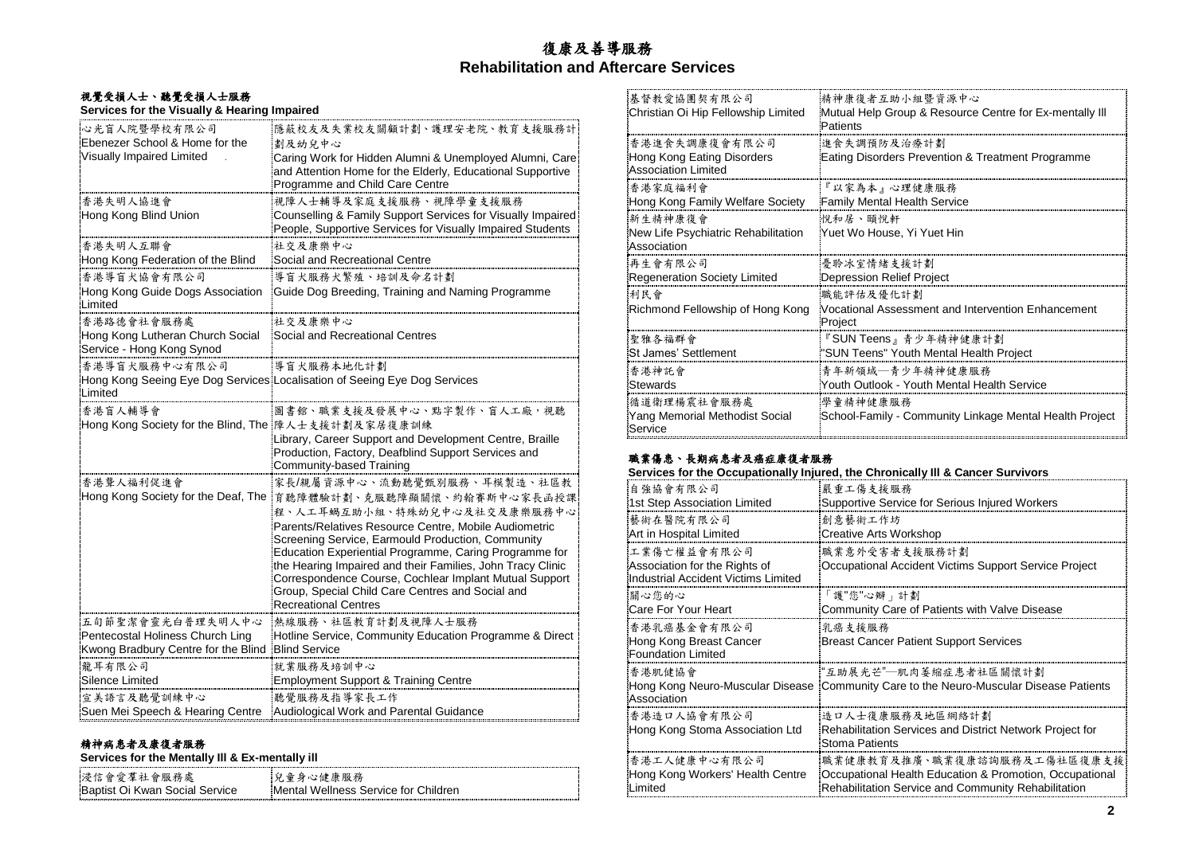# 復康及善導服務 **Rehabilitation and Aftercare Services**

#### 視覺受損人士、聽覺受損人士服務 **Services for the Visually & Hearing Impaired**

| 心光盲人院暨學校有限公司                                                  | 隱蔽校友及失業校友關顧計劃、護理安老院、教育支援服務計                                                                                                                              |
|---------------------------------------------------------------|----------------------------------------------------------------------------------------------------------------------------------------------------------|
| Ebenezer School & Home for the                                | 劃及幼兒中心                                                                                                                                                   |
| Visually Impaired Limited                                     | Caring Work for Hidden Alumni & Unemployed Alumni, Care<br>and Attention Home for the Elderly, Educational Supportive<br>Programme and Child Care Centre |
| 香港失明人協進會                                                      | 視障人士輔導及家庭支援服務、視障學童支援服務                                                                                                                                   |
| Hong Kong Blind Union                                         | Counselling & Family Support Services for Visually Impaired<br>People, Supportive Services for Visually Impaired Students                                |
| 香港失明人互聯會                                                      | 社交及康樂中心                                                                                                                                                  |
| Hong Kong Federation of the Blind                             | Social and Recreational Centre                                                                                                                           |
| 香港導盲犬協會有限公司                                                   | 導盲犬服務犬繁殖、培訓及命名計劃                                                                                                                                         |
| Hong Kong Guide Dogs Association<br>Limited                   | Guide Dog Breeding, Training and Naming Programme                                                                                                        |
| 香港路德會社會服務處                                                    | 社交及康樂中心                                                                                                                                                  |
| Hong Kong Lutheran Church Social<br>Service - Hong Kong Synod | Social and Recreational Centres                                                                                                                          |
| 香港導盲犬服務中心有限公司                                                 | 導盲犬服務本地化計劃                                                                                                                                               |
| Limited                                                       | Hong Kong Seeing Eye Dog Services Localisation of Seeing Eye Dog Services                                                                                |
| 香港盲人輔導會                                                       | 圖書館、職業支援及發展中心、點字製作、盲人工廠,視聽                                                                                                                               |
| Hong Kong Society for the Blind, The 降人士支援計劃及家居復康訓練           |                                                                                                                                                          |
|                                                               | Library, Career Support and Development Centre, Braille<br>Production, Factory, Deafblind Support Services and<br>Community-based Training               |
| 香港聾人福利促進會                                                     | 家長/親屬資源中心、流動聽覺甄別服務、耳模製造、社區教                                                                                                                              |
| Hong Kong Society for the Deaf, The                           | 育聽障體驗計劃、克服聽障顯關懷、約翰賽斯中心家長函授課<br>程、人工耳蝸互助小組、特殊幼兒中心及社交及康樂服務中心                                                                                               |
|                                                               | Parents/Relatives Resource Centre, Mobile Audiometric<br>Screening Service, Earmould Production, Community                                               |
|                                                               | Education Experiential Programme, Caring Programme for                                                                                                   |
|                                                               | the Hearing Impaired and their Families, John Tracy Clinic<br>Correspondence Course, Cochlear Implant Mutual Support                                     |
|                                                               | Group, Special Child Care Centres and Social and                                                                                                         |
|                                                               | <b>Recreational Centres</b>                                                                                                                              |
| 五旬節聖潔會靈光白普理失明人中心                                              | 熱線服務、社區教育計劃及視障人士服務                                                                                                                                       |
| Pentecostal Holiness Church Ling                              | Hotline Service, Community Education Programme & Direct                                                                                                  |
| Kwong Bradbury Centre for the Blind                           | <b>Blind Service</b>                                                                                                                                     |
| 龍耳有限公司                                                        | 就業服務及培訓中心                                                                                                                                                |
| Silence Limited                                               | <b>Employment Support &amp; Training Centre</b>                                                                                                          |
| 宣美語言及聽覺訓練中心                                                   | 聽覺服務及指導家長工作                                                                                                                                              |
| Suen Mei Speech & Hearing Centre                              | Audiological Work and Parental Guidance                                                                                                                  |

## 精神病患者及康復者服務

## **Services for the Mentally Ill & Ex-mentally ill**

| 浸信會愛羣社會服務處                     | 2. 包童身心健康服務                          |
|--------------------------------|--------------------------------------|
| Baptist Oi Kwan Social Service | Mental Wellness Service for Children |

| 精神康復者互助小組暨資源中心                                                             |
|----------------------------------------------------------------------------|
| Mutual Help Group & Resource Centre for Ex-mentally III<br>Patients        |
| 進食失調預防及治療計劃<br>Eating Disorders Prevention & Treatment Programme           |
| 『以家為本』心理健康服務<br>Family Mental Health Service                               |
| 悦和居、頤悅軒<br>Yuet Wo House, Yi Yuet Hin                                      |
| <b>憂聆冰室情緒支援計劃</b><br>Depression Relief Project                             |
| 職能評估及優化計劃<br>Vocational Assessment and Intervention Enhancement<br>Project |
| 『SUN Teens』青少年精神健康計劃<br>"SUN Teens" Youth Mental Health Project            |
| 青年新領域—青少年精神健康服務<br>Youth Outlook - Youth Mental Health Service             |
| 學童精神健康服務<br>School-Family - Community Linkage Mental Health Project        |
|                                                                            |

# 職業傷患、長期病患者及癌症康復者服務

| Services for the Occupationally Injured, the Chronically III & Cancer Survivors |
|---------------------------------------------------------------------------------|
|---------------------------------------------------------------------------------|

| 自強協會有限公司                                                                            | 嚴 重工傷 支 援 服 務                                                                                        |
|-------------------------------------------------------------------------------------|------------------------------------------------------------------------------------------------------|
| 1st Step Association Limited                                                        | Supportive Service for Serious Injured Workers                                                       |
| 藝術在醫院有限公司                                                                           | 創意藝術工作坊                                                                                              |
| Art in Hospital Limited                                                             | Creative Arts Workshop                                                                               |
| 工業傷亡權益會有限公司<br>Association for the Rights of<br>Industrial Accident Victims Limited | 職業意外受害者支援服務計劃<br>Occupational Accident Victims Support Service Project                               |
| 關心您的心                                                                               | 「護"您"心瓣」計劃                                                                                           |
| Care For Your Heart                                                                 | Community Care of Patients with Valve Disease                                                        |
| 香港乳癌基金會有限公司<br>Hong Kong Breast Cancer<br>Foundation Limited                        | 乳癌支援服務<br>Breast Cancer Patient Support Services                                                     |
| 香港肌健協會                                                                              | :"互助展光芒"─肌肉萎縮症患者社區關懷計劃                                                                               |
| Association                                                                         | Hong Kong Neuro-Muscular Disease [Community Care to the Neuro-Muscular Disease Patients]             |
| 香港造口人協會有限公司<br>Hong Kong Stoma Association Ltd                                      | 造口人士復康服務及地區網絡計劃<br>Rehabilitation Services and District Network Project for<br><b>Stoma Patients</b> |
| 香港工人健康中心有限公司                                                                        | 職業健康教育及推廣、職業復康諮詢服務及工傷社區復康支援                                                                          |
| Hong Kong Workers' Health Centre                                                    | Occupational Health Education & Promotion, Occupational                                              |
| II imited                                                                           | Rehabilitation Service and Community Rehabilitation                                                  |
|                                                                                     |                                                                                                      |